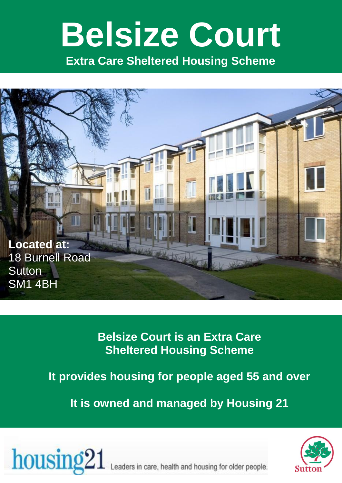# **Belsize Court**

**Extra Care Sheltered Housing Scheme**



**Belsize Court is an Extra Care Sheltered Housing Scheme**

**It provides housing for people aged 55 and over**

**It is owned and managed by Housing 21**





eaders in care, health and housing for older people.